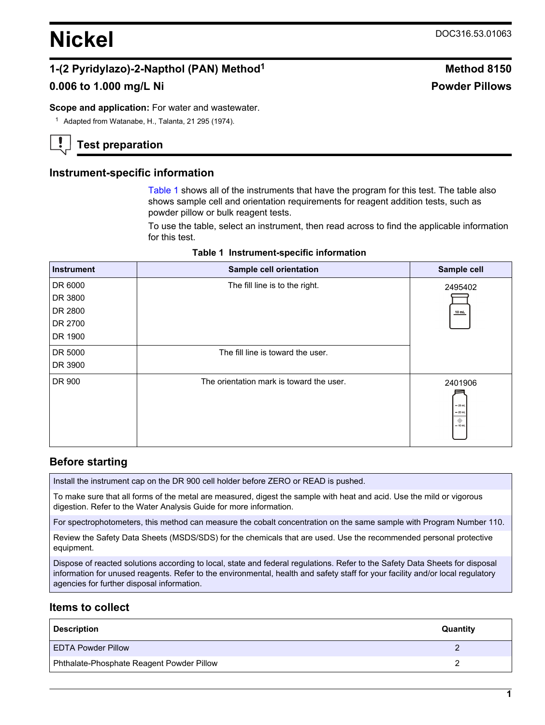# **Nickel** DOC316.53.01063

# **1-(2 Pyridylazo)-2-Napthol (PAN) Method<sup>1</sup> Method 8150**

# **0.006 to 1.000 mg/L Ni Powder Pillows**

**Scope and application:** For water and wastewater.

<sup>1</sup> Adapted from Watanabe, H., Talanta, 21 295 (1974).

# **Test preparation**

## **Instrument-specific information**

[Table 1](#page-0-0) shows all of the instruments that have the program for this test. The table also shows sample cell and orientation requirements for reagent addition tests, such as powder pillow or bulk reagent tests.

To use the table, select an instrument, then read across to find the applicable information for this test.

<span id="page-0-1"></span><span id="page-0-0"></span>

| <b>Instrument</b> | Sample cell orientation                  | Sample cell                                  |
|-------------------|------------------------------------------|----------------------------------------------|
| DR 6000           | The fill line is to the right.           | 2495402                                      |
| DR 3800           |                                          |                                              |
| DR 2800           |                                          | 10 mL                                        |
| DR 2700           |                                          |                                              |
| DR 1900           |                                          |                                              |
| DR 5000           | The fill line is toward the user.        |                                              |
| DR 3900           |                                          |                                              |
| DR 900            | The orientation mark is toward the user. | 2401906<br>$-25$ mL<br>$= 20$ mL<br>$-10$ mL |

#### **Table 1 Instrument-specific information**

## **Before starting**

Install the instrument cap on the DR 900 cell holder before ZERO or READ is pushed.

To make sure that all forms of the metal are measured, digest the sample with heat and acid. Use the mild or vigorous digestion. Refer to the Water Analysis Guide for more information.

For spectrophotometers, this method can measure the cobalt concentration on the same sample with Program Number 110.

Review the Safety Data Sheets (MSDS/SDS) for the chemicals that are used. Use the recommended personal protective equipment.

Dispose of reacted solutions according to local, state and federal regulations. Refer to the Safety Data Sheets for disposal information for unused reagents. Refer to the environmental, health and safety staff for your facility and/or local regulatory agencies for further disposal information.

## **Items to collect**

| <b>Description</b>                        | Quantity |
|-------------------------------------------|----------|
| EDTA Powder Pillow                        |          |
| Phthalate-Phosphate Reagent Powder Pillow |          |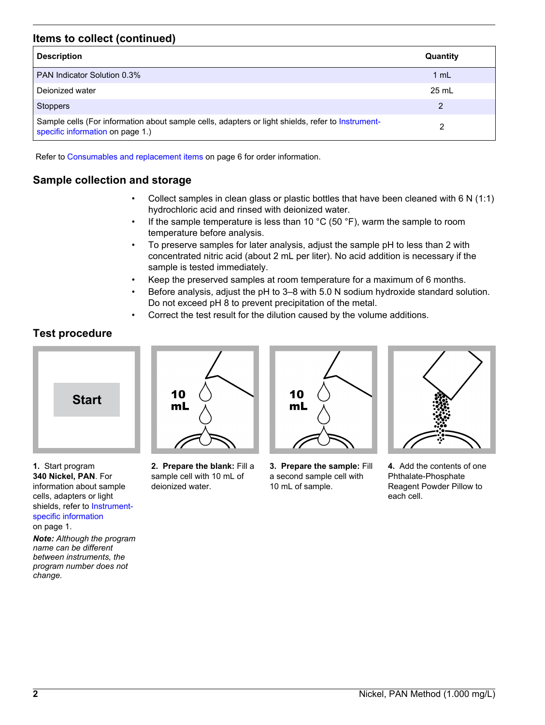# **Items to collect (continued)**

| <b>Description</b>                                                                                                                    | Quantity        |
|---------------------------------------------------------------------------------------------------------------------------------------|-----------------|
| <b>PAN Indicator Solution 0.3%</b>                                                                                                    | 1 mL            |
| Dejonized water                                                                                                                       | $25 \text{ mL}$ |
| <b>Stoppers</b>                                                                                                                       | 2               |
| Sample cells (For information about sample cells, adapters or light shields, refer to Instrument-<br>specific information on page 1.) | 2               |

Refer to [Consumables and replacement items](#page-5-0) on page 6 for order information.

# **Sample collection and storage**

- Collect samples in clean glass or plastic bottles that have been cleaned with 6 N (1:1) hydrochloric acid and rinsed with deionized water.
- If the sample temperature is less than 10  $^{\circ}$ C (50  $^{\circ}$ F), warm the sample to room temperature before analysis.
- To preserve samples for later analysis, adjust the sample pH to less than 2 with concentrated nitric acid (about 2 mL per liter). No acid addition is necessary if the sample is tested immediately.
- Keep the preserved samples at room temperature for a maximum of 6 months.
- Before analysis, adjust the pH to 3–8 with 5.0 N sodium hydroxide standard solution. Do not exceed pH 8 to prevent precipitation of the metal.
- Correct the test result for the dilution caused by the volume additions.

# **Test procedure**



**1.** Start program **340 Nickel, PAN**. For information about sample cells, adapters or light shields, refer to [Instrument](#page-0-1)[specific information](#page-0-1) on page 1.

*Note: Although the program name can be different between instruments, the program number does not change.*



**2. Prepare the blank:** Fill a sample cell with 10 mL of deionized water.



**3. Prepare the sample:** Fill a second sample cell with 10 mL of sample.



**4.** Add the contents of one Phthalate-Phosphate Reagent Powder Pillow to each cell.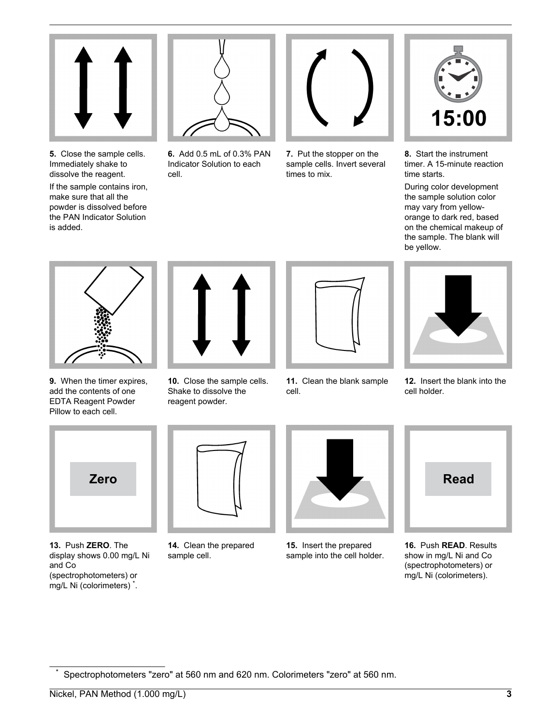

**5.** Close the sample cells. Immediately shake to dissolve the reagent. If the sample contains iron, make sure that all the powder is dissolved before the PAN Indicator Solution is added.



**6.** Add 0.5 mL of 0.3% PAN Indicator Solution to each cell.



**7.** Put the stopper on the sample cells. Invert several times to mix.



**8.** Start the instrument timer. A 15-minute reaction time starts.

During color development the sample solution color may vary from yelloworange to dark red, based on the chemical makeup of the sample. The blank will be yellow.



**9.** When the timer expires, add the contents of one EDTA Reagent Powder Pillow to each cell.



**10.** Close the sample cells. Shake to dissolve the reagent powder.



**11.** Clean the blank sample cell.



**12.** Insert the blank into the cell holder.



**13.** Push **ZERO**. The display shows 0.00 mg/L Ni and Co (spectrophotometers) or mg/L Ni (colorimeters) \* .



**14.** Clean the prepared sample cell.



**15.** Insert the prepared sample into the cell holder.



**16.** Push **READ**. Results show in mg/L Ni and Co (spectrophotometers) or mg/L Ni (colorimeters).

Spectrophotometers "zero" at 560 nm and 620 nm. Colorimeters "zero" at 560 nm.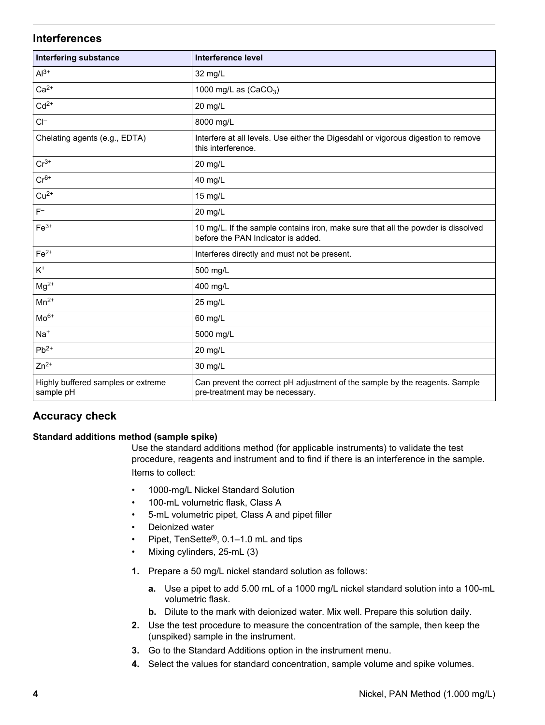## **Interferences**

| <b>Interfering substance</b>                    | <b>Interference level</b>                                                                                              |
|-------------------------------------------------|------------------------------------------------------------------------------------------------------------------------|
| $Al^{3+}$                                       | 32 mg/L                                                                                                                |
| $Ca2+$                                          | 1000 mg/L as $(CaCO3)$                                                                                                 |
| $Cd2+$                                          | 20 mg/L                                                                                                                |
| $CI^-$                                          | 8000 mg/L                                                                                                              |
| Chelating agents (e.g., EDTA)                   | Interfere at all levels. Use either the Digesdahl or vigorous digestion to remove<br>this interference.                |
| $Cr^{3+}$                                       | 20 mg/L                                                                                                                |
| $Cr6+$                                          | 40 mg/L                                                                                                                |
| $Cu2+$                                          | 15 mg/L                                                                                                                |
| $F^-$                                           | 20 mg/L                                                                                                                |
| $Fe3+$                                          | 10 mg/L. If the sample contains iron, make sure that all the powder is dissolved<br>before the PAN Indicator is added. |
| $Fe2+$                                          | Interferes directly and must not be present.                                                                           |
| $K^+$                                           | 500 mg/L                                                                                                               |
| $Mg^{2+}$                                       | 400 mg/L                                                                                                               |
| $Mn^{2+}$                                       | 25 mg/L                                                                                                                |
| $Mo6+$                                          | 60 mg/L                                                                                                                |
| $Na+$                                           | 5000 mg/L                                                                                                              |
| $Pb^{2+}$                                       | 20 mg/L                                                                                                                |
| $Zn^{2+}$                                       | 30 mg/L                                                                                                                |
| Highly buffered samples or extreme<br>sample pH | Can prevent the correct pH adjustment of the sample by the reagents. Sample<br>pre-treatment may be necessary.         |

# **Accuracy check**

## **Standard additions method (sample spike)**

Use the standard additions method (for applicable instruments) to validate the test procedure, reagents and instrument and to find if there is an interference in the sample. Items to collect:

- 1000-mg/L Nickel Standard Solution
- 100-mL volumetric flask, Class A
- 5-mL volumetric pipet, Class A and pipet filler
- Deionized water
- Pipet, TenSette®, 0.1–1.0 mL and tips
- Mixing cylinders, 25-mL (3)
- **1.** Prepare a 50 mg/L nickel standard solution as follows:
	- **a.** Use a pipet to add 5.00 mL of a 1000 mg/L nickel standard solution into a 100-mL volumetric flask.
	- **b.** Dilute to the mark with deionized water. Mix well. Prepare this solution daily.
- **2.** Use the test procedure to measure the concentration of the sample, then keep the (unspiked) sample in the instrument.
- **3.** Go to the Standard Additions option in the instrument menu.
- **4.** Select the values for standard concentration, sample volume and spike volumes.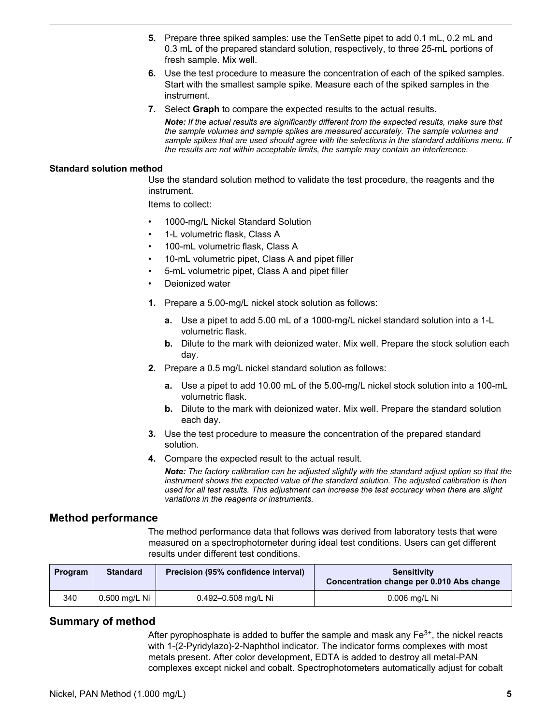- **5.** Prepare three spiked samples: use the TenSette pipet to add 0.1 mL, 0.2 mL and 0.3 mL of the prepared standard solution, respectively, to three 25-mL portions of fresh sample. Mix well.
- **6.** Use the test procedure to measure the concentration of each of the spiked samples. Start with the smallest sample spike. Measure each of the spiked samples in the instrument.
- **7.** Select **Graph** to compare the expected results to the actual results.

*Note: If the actual results are significantly different from the expected results, make sure that the sample volumes and sample spikes are measured accurately. The sample volumes and sample spikes that are used should agree with the selections in the standard additions menu. If the results are not within acceptable limits, the sample may contain an interference.*

#### **Standard solution method**

Use the standard solution method to validate the test procedure, the reagents and the instrument.

Items to collect:

- 1000-mg/L Nickel Standard Solution
- 1-L volumetric flask, Class A
- 100-mL volumetric flask, Class A
- 10-mL volumetric pipet, Class A and pipet filler
- 5-mL volumetric pipet, Class A and pipet filler
- Deionized water
- **1.** Prepare a 5.00-mg/L nickel stock solution as follows:
	- **a.** Use a pipet to add 5.00 mL of a 1000-mg/L nickel standard solution into a 1-L volumetric flask.
	- **b.** Dilute to the mark with deionized water. Mix well. Prepare the stock solution each day.
- **2.** Prepare a 0.5 mg/L nickel standard solution as follows:
	- **a.** Use a pipet to add 10.00 mL of the 5.00-mg/L nickel stock solution into a 100-mL volumetric flask.
	- **b.** Dilute to the mark with deionized water. Mix well. Prepare the standard solution each day.
- **3.** Use the test procedure to measure the concentration of the prepared standard solution.
- **4.** Compare the expected result to the actual result.

*Note: The factory calibration can be adjusted slightly with the standard adjust option so that the instrument shows the expected value of the standard solution. The adjusted calibration is then used for all test results. This adjustment can increase the test accuracy when there are slight variations in the reagents or instruments.*

#### **Method performance**

The method performance data that follows was derived from laboratory tests that were measured on a spectrophotometer during ideal test conditions. Users can get different results under different test conditions.

| Program | <b>Standard</b> | Precision (95% confidence interval) | <b>Sensitivity</b><br>Concentration change per 0.010 Abs change |
|---------|-----------------|-------------------------------------|-----------------------------------------------------------------|
| 340     | 0.500 mg/L Ni   | 0.492-0.508 mg/L Ni                 | $0.006$ mg/L Ni                                                 |

## **Summary of method**

After pyrophosphate is added to buffer the sample and mask any  $Fe<sup>3+</sup>$ , the nickel reacts with 1-(2-Pyridylazo)-2-Naphthol indicator. The indicator forms complexes with most metals present. After color development, EDTA is added to destroy all metal-PAN complexes except nickel and cobalt. Spectrophotometers automatically adjust for cobalt